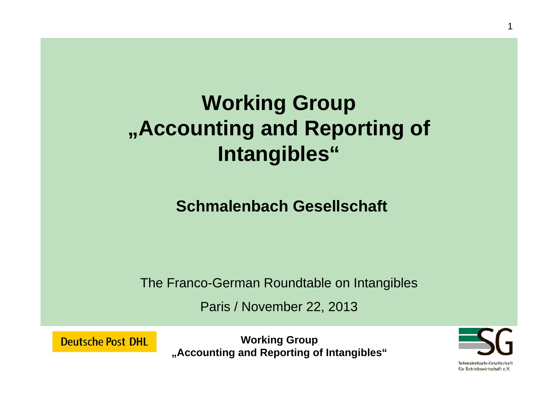# **Working Group "Accounting and Reporting of Intangibles"**

**Schmalenbach Gesellschaft**

The Franco-German Roundtable on Intangibles

Paris / November 22, 2013

**Deutsche Post DHL** 

**Working Group "Accounting and Reporting of Intangibles"**

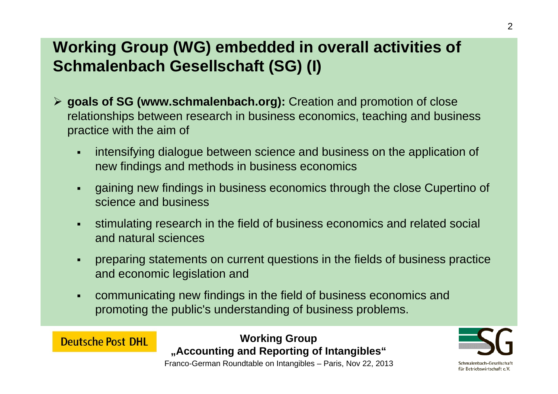## **Working Group (WG) embedded in overall activities of Schmalenbach Gesellschaft (SG) (I)**

- **goals of SG (www.schmalenbach.org):** Creation and promotion of close relationships between research in business economics, teaching and business practice with the aim of
	- $\blacksquare$  intensifying dialogue between science and business on the application of new findings and methods in business economics
	- $\blacksquare$  gaining new findings in business economics through the close Cupertino of science and business
	- $\blacksquare$  stimulating research in the field of business economics and related social and natural sciences
	- $\blacksquare$  preparing statements on current questions in the fields of business practice and economic legislation and
	- $\blacksquare$  communicating new findings in the field of business economics and promoting the public's understanding of business problems.

**Working Group "Accounting and Reporting of Intangibles"**

**Deutsche Post DHL** 

Franco-German Roundtable on Intangibles – Paris, Nov 22, 2013



für Betriebswirtschaft e.V.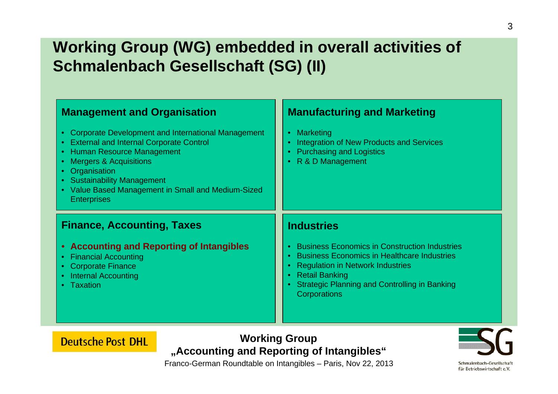## **Working Group (WG) embedded in overall activities of Schmalenbach Gesellschaft (SG) (II)**

| <b>Management and Organisation</b><br>Corporate Development and International Management<br>$\bullet$<br><b>External and Internal Corporate Control</b><br>Human Resource Management<br><b>Mergers &amp; Acquisitions</b><br>$\bullet$<br>Organisation<br>$\bullet$<br><b>Sustainability Management</b><br>$\bullet$<br>• Value Based Management in Small and Medium-Sized<br><b>Enterprises</b> | <b>Manufacturing and Marketing</b><br>Marketing<br>Integration of New Products and Services<br><b>Purchasing and Logistics</b><br>R & D Management                                                                                                                   |
|--------------------------------------------------------------------------------------------------------------------------------------------------------------------------------------------------------------------------------------------------------------------------------------------------------------------------------------------------------------------------------------------------|----------------------------------------------------------------------------------------------------------------------------------------------------------------------------------------------------------------------------------------------------------------------|
| <b>Finance, Accounting, Taxes</b><br><b>Accounting and Reporting of Intangibles</b><br>$\bullet$<br><b>Financial Accounting</b><br>$\bullet$<br><b>Corporate Finance</b><br>$\bullet$<br><b>Internal Accounting</b><br>Taxation                                                                                                                                                                  | <b>Industries</b><br><b>Business Economics in Construction Industries</b><br><b>Business Economics in Healthcare Industries</b><br><b>Regulation in Network Industries</b><br><b>Retail Banking</b><br>Strategic Planning and Controlling in Banking<br>Corporations |

**Working Group "Accounting and Reporting of Intangibles"**

**Deutsche Post DHL** 



für Betriebswirtschaft e.V.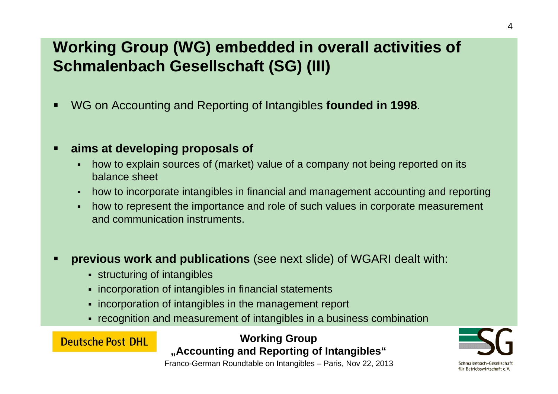## **Working Group (WG) embedded in overall activities of Schmalenbach Gesellschaft (SG) (III)**

 $\blacksquare$ WG on Accounting and Reporting of Intangibles **founded in 1998**.

#### $\blacksquare$ **aims at developing proposals of**

- п how to explain sources of (market) value of a company not being reported on its balance sheet
- $\blacksquare$ how to incorporate intangibles in financial and management accounting and reporting
- $\blacksquare$  how to represent the importance and role of such values in corporate measurement and communication instruments.
- $\blacksquare$  **previous work and publications** (see next slide) of WGARI dealt with:
	- **structuring of intangibles**

**Deutsche Post DHL** 

- **Example incorporation of intangibles in financial statements**
- **Follo incorporation of intangibles in the management report**
- recognition and measurement of intangibles in a business combination

#### **Working Group "Accounting and Reporting of Intangibles"**

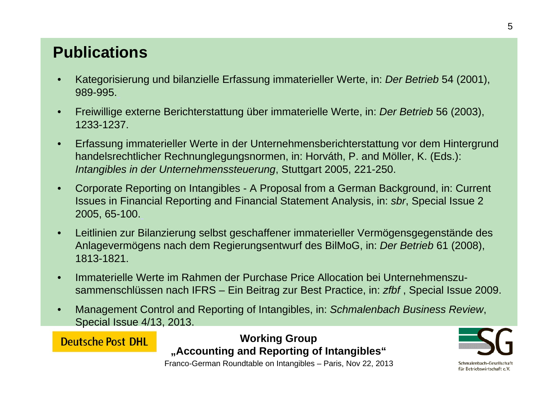### **Publications**

- • Kategorisierung und bilanzielle Erfassung immaterieller Werte, in: *Der Betrieb* 54 (2001), 989-995.
- • Freiwillige externe Berichterstattung über immaterielle Werte, in: *Der Betrieb* 56 (2003), 1233-1237.
- • Erfassung immaterieller Werte in der Unternehmensberichterstattung vor dem Hintergrund handelsrechtlicher Rechnunglegungsnormen, in: Horváth, P. and Möller, K. (Eds.): *Intangibles in der Unternehmenssteuerung*, Stuttgart 2005, 221-250.
- • Corporate Reporting on Intangibles - A Proposal from a German Background, in: Current Issues in Financial Reporting and Financial Statement Analysis, in: *sbr*, Special Issue 2 2005, 65-100.
- • Leitlinien zur Bilanzierung selbst geschaffener immaterieller Vermögensgegenstände des Anlagevermögens nach dem Regierungsentwurf des BilMoG, in: *Der Betrieb* 61 (2008), 1813-1821.
- • Immaterielle Werte im Rahmen der Purchase Price Allocation bei Unternehmenszusammenschlüssen nach IFRS – Ein Beitrag zur Best Practice, in: *zfbf* , Special Issue 2009.
- • Management Control and Reporting of Intangibles, in: *Schmalenbach Business Review*, Special Issue 4/13, 2013.

**Deutsche Post DHL** 

**Working Group "Accounting and Reporting of Intangibles"**

Franco-German Roundtable on Intangibles – Paris, Nov 22, 2013



Schmalenbach-Gesellschaf für Betriebswirtschaft e.V.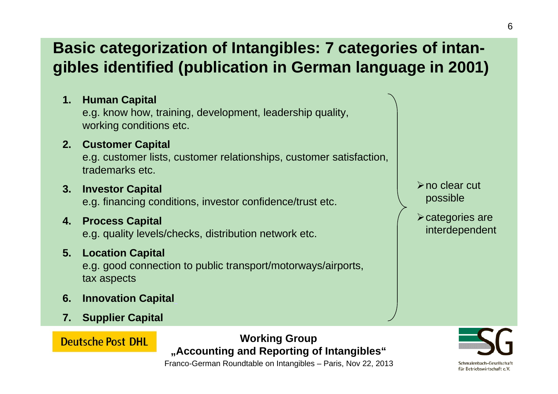### **Basic categorization of Intangibles: 7 categories of intangibles identified (publication in German language in 2001)**

**1. Human Capital**

e.g. know how, training, development, leadership quality, working conditions etc.

**2. Customer Capital**

e.g. customer lists, customer relationships, customer satisfaction, trademarks etc.

**3. Investor Capital**

e.g. financing conditions, investor confidence/trust etc.

**4. Process Capital**

e.g. quality levels/checks, distribution network etc.

#### **5. Location Capital**

e.g. good connection to public transport/motorways/airports, tax aspects

- **6. Innovation Capital**
- **7. Supplier Capital**

**Deutsche Post DHL** 

**Working Group "Accounting and Reporting of Intangibles"**

- **≻no clear cut** possible
- categories are interdependent

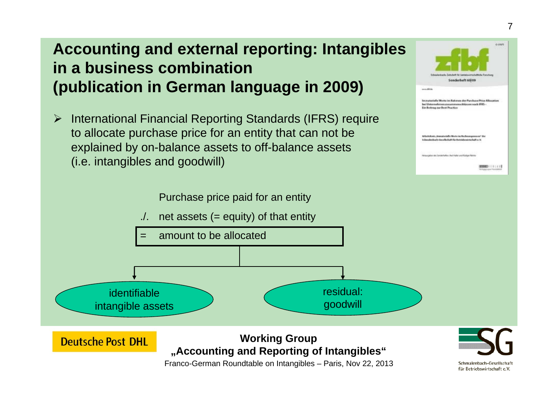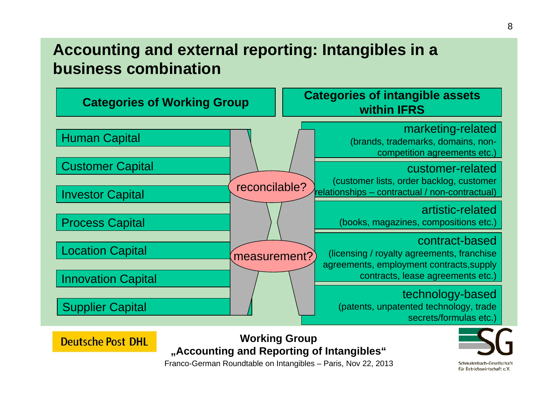### **Accounting and external reporting: Intangibles in a business combination**



**Working Group "Accounting and Reporting of Intangibles"**

Franco-German Roundtable on Intangibles – Paris, Nov 22, 2013

**Deutsche Post DHL** 

Schmalenbach-Gesellschaft für Betriebswirtschaft e.V.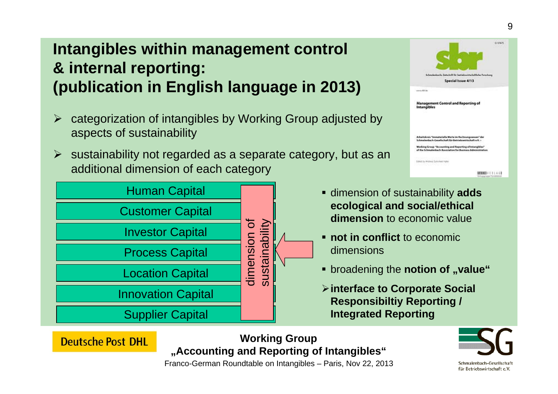## **Intangibles within management control & internal reporting: (publication in English language in 2013)**

- $\blacktriangleright$  categorization of intangibles by Working Group adjusted by aspects of sustainability
- $\triangleright$  sustainability not regarded as a separate category, but as an additional dimension of each category



**Deutsche Post DHL** 



- dimension of sustainability **adds ecological and social/ethical dimension** to economic value
- **<u><b>•** not in conflict to economic</u> dimensions
- **Example 2 Is contignal Proport Figure Proporter** *of proports in broadening the indefference assembled*
- **interface to Corporate Social Responsibiltiy Reporting / Integrated Reporting**

**Working Group "Accounting and Reporting of Intangibles"**

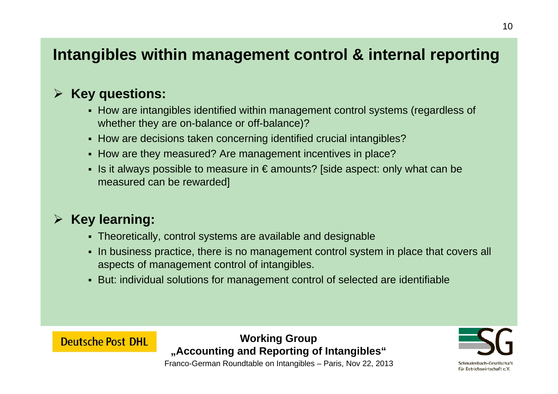### **Intangibles within management control & internal reporting**

#### $\blacktriangleright$ **Key questions:**

- How are intangibles identified within management control systems (regardless of whether they are on-balance or off-balance)?
- How are decisions taken concerning identified crucial intangibles?
- How are they measured? Are management incentives in place?
- Is it always possible to measure in € amounts? [side aspect: only what can be measured can be rewarded]

#### $\blacktriangleright$ **Key learning:**

**Deutsche Post DHL** 

- Theoretically, control systems are available and designable
- In business practice, there is no management control system in place that covers all aspects of management control of intangibles.
- But: individual solutions for management control of selected are identifiable

#### **Working Group "Accounting and Reporting of Intangibles"**



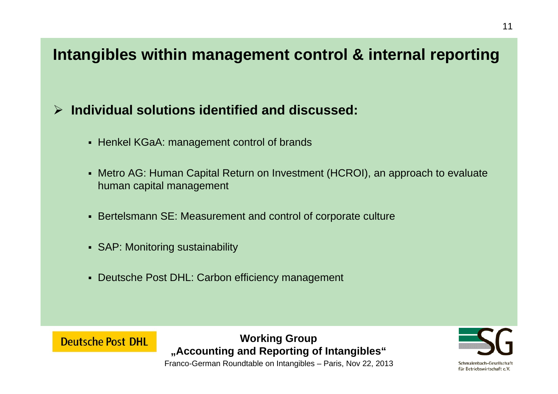### **Intangibles within management control & internal reporting**

### **Individual solutions identified and discussed:**

- Henkel KGaA: management control of brands
- Metro AG: Human Capital Return on Investment (HCROI), an approach to evaluate human capital management
- Bertelsmann SE: Measurement and control of corporate culture
- SAP: Monitoring sustainability
- Deutsche Post DHL: Carbon efficiency management



#### **Working Group "Accounting and Reporting of Intangibles"**

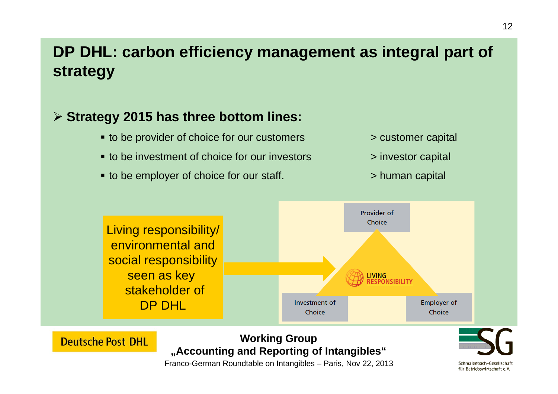### **DP DHL: carbon efficiency management as integral part of strategy**

### **Strategy 2015 has three bottom lines:**

**Deutsche Post DHL** 

- to be provider of choice for our customers  $\longrightarrow$  customer capital
- to be investment of choice for our investors  $\longrightarrow$  investor capital
- to be employer of choice for our staff. → solution and apital



- 
- 



#### **Working Group "Accounting and Reporting of Intangibles"**

Franco-German Roundtable on Intangibles – Paris, Nov 22, 2013

Schmalenbach-Gesellschaft für Betriebswirtschaft e.V.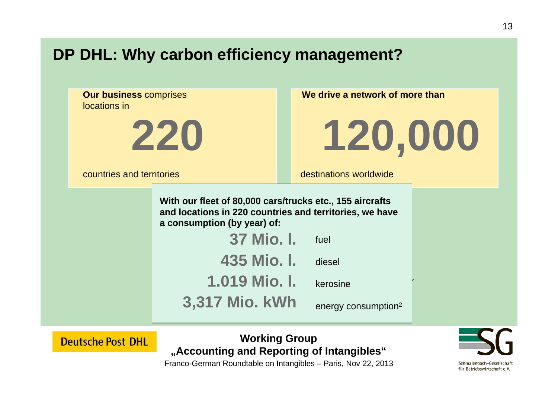### **DP DHL: Why carbon efficiency management?**



**Deutsche Post DHL** 

**Working Group "Accounting and Reporting of Intangibles"**

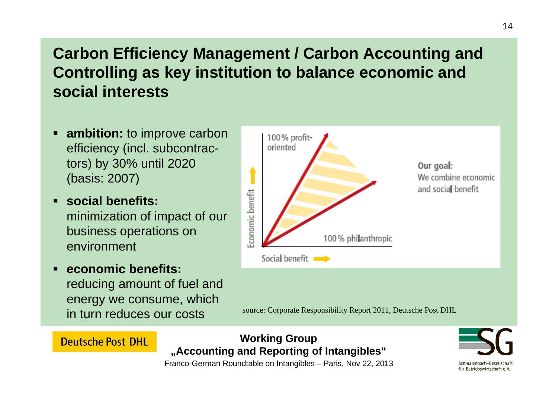### **Carbon Efficiency Management / Carbon Accounting and Controlling as key institution to balance economic and social interests**

- **ambition:** to improve carbon efficiency (incl. subcontractors) by 30% until 2020 (basis: 2007)
- **social benefits:**  minimization of impact of our business operations on environment
- **economic benefits:**  reducing amount of fuel and energy we consume, which in turn reduces our costs

**Deutsche Post DHL** 



source: Corporate Responsibility Report 2011, Deutsche Post DHL

#### **Working Group "Accounting and Reporting of Intangibles"**

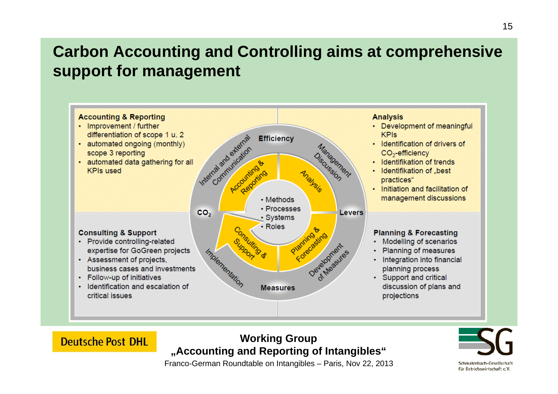### **Carbon Accounting and Controlling aims at comprehensive support for management**



#### **Working Group "Accounting and Reporting of Intangibles"**

**Deutsche Post DHL**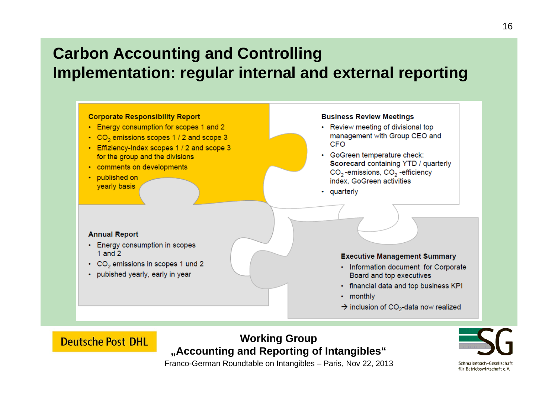### **Carbon Accounting and Controlling Implementation: regular internal and external reporting**



#### **Working Group "Accounting and Reporting of Intangibles"**

**Deutsche Post DHL** 

Franco-German Roundtable on Intangibles – Paris, Nov 22, 2013



für Betriebswirtschaft e.V.